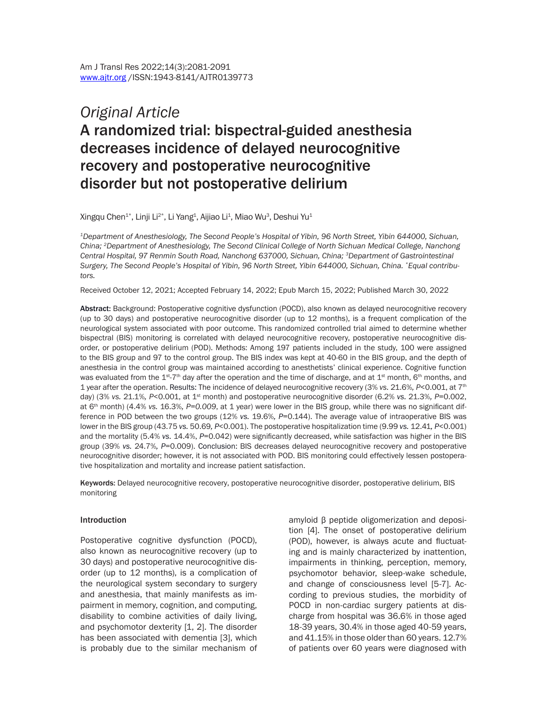# *Original Article* A randomized trial: bispectral-guided anesthesia decreases incidence of delayed neurocognitive recovery and postoperative neurocognitive disorder but not postoperative delirium

Xingqu Chen $^{1*}$ , Linji Li $^{2*}$ , Li Yang $^{1}$ , Aijiao Li $^{1}$ , Miao Wu $^{3}$ , Deshui Yu $^{1}$ 

*1Department of Anesthesiology, The Second People's Hospital of Yibin, 96 North Street, Yibin 644000, Sichuan, China; 2Department of Anesthesiology, The Second Clinical College of North Sichuan Medical College, Nanchong Central Hospital, 97 Renmin South Road, Nanchong 637000, Sichuan, China; 3Department of Gastrointestinal Surgery, The Second People's Hospital of Yibin, 96 North Street, Yibin 644000, Sichuan, China. \*Equal contributors.*

Received October 12, 2021; Accepted February 14, 2022; Epub March 15, 2022; Published March 30, 2022

Abstract: Background: Postoperative cognitive dysfunction (POCD), also known as delayed neurocognitive recovery (up to 30 days) and postoperative neurocognitive disorder (up to 12 months), is a frequent complication of the neurological system associated with poor outcome. This randomized controlled trial aimed to determine whether bispectral (BIS) monitoring is correlated with delayed neurocognitive recovery, postoperative neurocognitive disorder, or postoperative delirium (POD). Methods: Among 197 patients included in the study, 100 were assigned to the BIS group and 97 to the control group. The BIS index was kept at 40-60 in the BIS group, and the depth of anesthesia in the control group was maintained according to anesthetists' clinical experience. Cognitive function was evaluated from the 1<sup>st</sup>-7<sup>th</sup> day after the operation and the time of discharge, and at 1<sup>st</sup> month, 6<sup>th</sup> months, and 1 year after the operation. Results: The incidence of delayed neurocognitive recovery (3% *vs.* 21.6%*, P*<0.001, at 7th day) (3% *vs.* 21.1%*, P*<0.001, at 1st month) and postoperative neurocognitive disorder (6.2% *vs.* 21.3%*, P*=0.002, at 6th month) (4.4% *vs.* 16.3%*, P=0.009*, at 1 year) were lower in the BIS group, while there was no significant difference in POD between the two groups (12% *vs.* 19.6%*, P*=0.144). The average value of intraoperative BIS was lower in the BIS group (43.75 *vs.* 50.69*, P*<0.001). The postoperative hospitalization time (9.99 *vs.* 12.41*, P*<0.001) and the mortality (5.4% *vs.* 14.4%, *P*=0.042) were significantly decreased, while satisfaction was higher in the BIS group (39% *vs.* 24.7%*, P*=0.009). Conclusion: BIS decreases delayed neurocognitive recovery and postoperative neurocognitive disorder; however, it is not associated with POD. BIS monitoring could effectively lessen postoperative hospitalization and mortality and increase patient satisfaction.

Keywords: Delayed neurocognitive recovery, postoperative neurocognitive disorder, postoperative delirium, BIS monitoring

#### Introduction

Postoperative cognitive dysfunction (POCD), also known as neurocognitive recovery (up to 30 days) and postoperative neurocognitive disorder (up to 12 months), is a complication of the neurological system secondary to surgery and anesthesia, that mainly manifests as impairment in memory, cognition, and computing, disability to combine activities of daily living, and psychomotor dexterity [1, 2]. The disorder has been associated with dementia [3], which is probably due to the similar mechanism of amyloid β peptide oligomerization and deposition [4]. The onset of postoperative delirium (POD), however, is always acute and fluctuating and is mainly characterized by inattention, impairments in thinking, perception, memory, psychomotor behavior, sleep-wake schedule, and change of consciousness level [5-7]. According to previous studies, the morbidity of POCD in non-cardiac surgery patients at discharge from hospital was 36.6% in those aged 18-39 years, 30.4% in those aged 40-59 years, and 41.15% in those older than 60 years. 12.7% of patients over 60 years were diagnosed with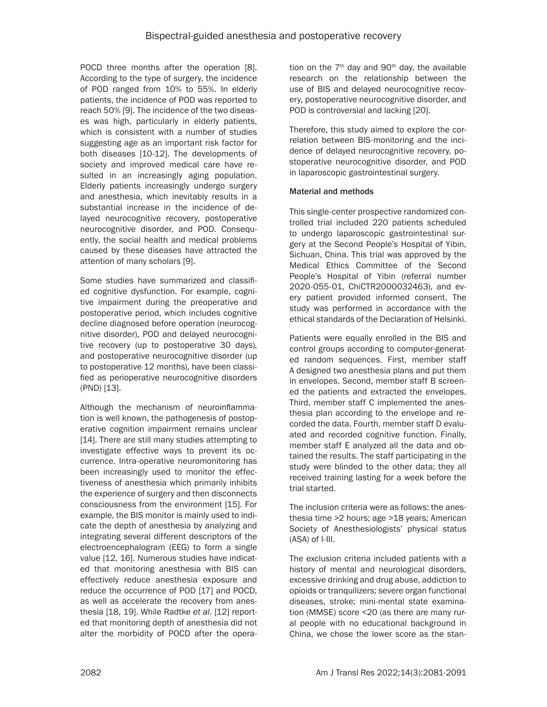POCD three months after the operation [8]. According to the type of surgery, the incidence of POD ranged from 10% to 55%. In elderly patients, the incidence of POD was reported to reach 50% [9]. The incidence of the two diseases was high, particularly in elderly patients, which is consistent with a number of studies suggesting age as an important risk factor for both diseases [10-12]. The developments of society and improved medical care have resulted in an increasingly aging population. Elderly patients increasingly undergo surgery and anesthesia, which inevitably results in a substantial increase in the incidence of delayed neurocognitive recovery, postoperative neurocognitive disorder, and POD. Consequently, the social health and medical problems caused by these diseases have attracted the attention of many scholars [9].

Some studies have summarized and classified cognitive dysfunction. For example, cognitive impairment during the preoperative and postoperative period, which includes cognitive decline diagnosed before operation (neurocognitive disorder), POD and delayed neurocognitive recovery (up to postoperative 30 days), and postoperative neurocognitive disorder (up to postoperative 12 months), have been classified as perioperative neurocognitive disorders (PND) [13].

Although the mechanism of neuroinflammation is well known, the pathogenesis of postoperative cognition impairment remains unclear [14]. There are still many studies attempting to investigate effective ways to prevent its occurrence. Intra-operative neuromonitoring has been increasingly used to monitor the effectiveness of anesthesia which primarily inhibits the experience of surgery and then disconnects consciousness from the environment [15]. For example, the BIS monitor is mainly used to indicate the depth of anesthesia by analyzing and integrating several different descriptors of the electroencephalogram (EEG) to form a single value [12, 16]. Numerous studies have indicated that monitoring anesthesia with BIS can effectively reduce anesthesia exposure and reduce the occurrence of POD [17] and POCD, as well as accelerate the recovery from anesthesia [18, 19]. While Radtke *et al.* [12] reported that monitoring depth of anesthesia did not alter the morbidity of POCD after the operation on the  $7<sup>th</sup>$  day and  $90<sup>th</sup>$  day, the available research on the relationship between the use of BIS and delayed neurocognitive recovery, postoperative neurocognitive disorder, and POD is controversial and lacking [20].

Therefore, this study aimed to explore the correlation between BIS-monitoring and the incidence of delayed neurocognitive recovery, postoperative neurocognitive disorder, and POD in laparoscopic gastrointestinal surgery.

# Material and methods

This single-center prospective randomized controlled trial included 220 patients scheduled to undergo laparoscopic gastrointestinal surgery at the Second People's Hospital of Yibin, Sichuan, China. This trial was approved by the Medical Ethics Committee of the Second People's Hospital of Yibin (referral number 2020-055-01, ChiCTR2000032463), and every patient provided informed consent. The study was performed in accordance with the ethical standards of the Declaration of Helsinki.

Patients were equally enrolled in the BIS and control groups according to computer-generated random sequences. First, member staff A designed two anesthesia plans and put them in envelopes. Second, member staff B screened the patients and extracted the envelopes. Third, member staff C implemented the anesthesia plan according to the envelope and recorded the data. Fourth, member staff D evaluated and recorded cognitive function. Finally, member staff E analyzed all the data and obtained the results. The staff participating in the study were blinded to the other data; they all received training lasting for a week before the trial started.

The inclusion criteria were as follows: the anesthesia time >2 hours; age >18 years; American Society of Anesthesiologists' physical status (ASA) of I-III.

The exclusion criteria included patients with a history of mental and neurological disorders, excessive drinking and drug abuse, addiction to opioids or tranquilizers; severe organ functional diseases, stroke; mini-mental state examination (MMSE) score <20 (as there are many rural people with no educational background in China, we chose the lower score as the stan-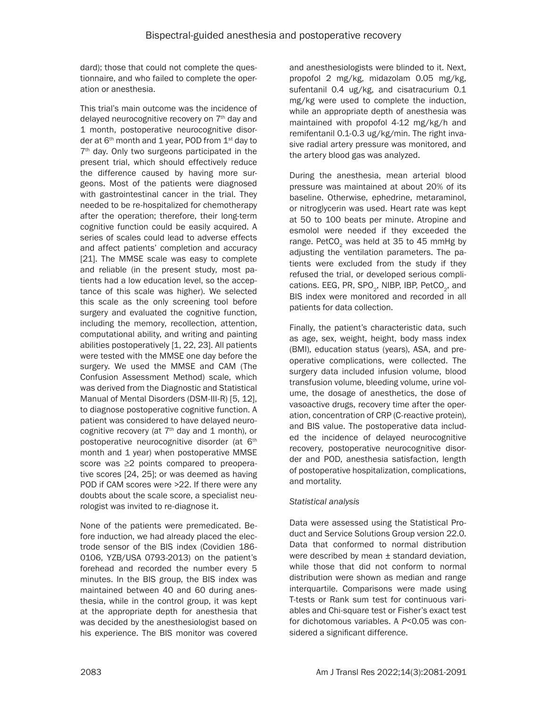dard); those that could not complete the questionnaire, and who failed to complete the operation or anesthesia.

This trial's main outcome was the incidence of delayed neurocognitive recovery on 7<sup>th</sup> day and 1 month, postoperative neurocognitive disorder at  $6<sup>th</sup>$  month and 1 year, POD from  $1<sup>st</sup>$  day to 7<sup>th</sup> day. Only two surgeons participated in the present trial, which should effectively reduce the difference caused by having more surgeons. Most of the patients were diagnosed with gastrointestinal cancer in the trial. They needed to be re-hospitalized for chemotherapy after the operation; therefore, their long-term cognitive function could be easily acquired. A series of scales could lead to adverse effects and affect patients' completion and accuracy [21]. The MMSE scale was easy to complete and reliable (in the present study, most patients had a low education level, so the acceptance of this scale was higher). We selected this scale as the only screening tool before surgery and evaluated the cognitive function, including the memory, recollection, attention, computational ability, and writing and painting abilities postoperatively [1, 22, 23]. All patients were tested with the MMSE one day before the surgery. We used the MMSE and CAM (The Confusion Assessment Method) scale, which was derived from the Diagnostic and Statistical Manual of Mental Disorders (DSM-III-R) [5, 12], to diagnose postoperative cognitive function. A patient was considered to have delayed neurocognitive recovery (at  $7<sup>th</sup>$  day and 1 month), or postoperative neurocognitive disorder (at 6<sup>th</sup> month and 1 year) when postoperative MMSE score was ≥2 points compared to preoperative scores [24, 25]; or was deemed as having POD if CAM scores were >22. If there were any doubts about the scale score, a specialist neurologist was invited to re-diagnose it.

None of the patients were premedicated. Before induction, we had already placed the electrode sensor of the BIS index (Covidien 186- 0106, YZB/USA 0793-2013) on the patient's forehead and recorded the number every 5 minutes. In the BIS group, the BIS index was maintained between 40 and 60 during anesthesia, while in the control group, it was kept at the appropriate depth for anesthesia that was decided by the anesthesiologist based on his experience. The BIS monitor was covered

and anesthesiologists were blinded to it. Next, propofol 2 mg/kg, midazolam 0.05 mg/kg, sufentanil 0.4 ug/kg, and cisatracurium 0.1 mg/kg were used to complete the induction, while an appropriate depth of anesthesia was maintained with propofol 4-12 mg/kg/h and remifentanil 0.1-0.3 ug/kg/min. The right invasive radial artery pressure was monitored, and the artery blood gas was analyzed.

During the anesthesia, mean arterial blood pressure was maintained at about 20% of its baseline. Otherwise, ephedrine, metaraminol, or nitroglycerin was used. Heart rate was kept at 50 to 100 beats per minute. Atropine and esmolol were needed if they exceeded the range. PetCO<sub>2</sub> was held at 35 to 45 mmHg by adjusting the ventilation parameters. The patients were excluded from the study if they refused the trial, or developed serious complications. EEG, PR, SPO<sub>2</sub>, NIBP, IBP, PetCO<sub>2</sub>, and BIS index were monitored and recorded in all patients for data collection.

Finally, the patient's characteristic data, such as age, sex, weight, height, body mass index (BMI), education status (years), ASA, and preoperative complications, were collected. The surgery data included infusion volume, blood transfusion volume, bleeding volume, urine volume, the dosage of anesthetics, the dose of vasoactive drugs, recovery time after the operation, concentration of CRP (C-reactive protein), and BIS value. The postoperative data included the incidence of delayed neurocognitive recovery, postoperative neurocognitive disorder and POD, anesthesia satisfaction, length of postoperative hospitalization, complications, and mortality.

## *Statistical analysis*

Data were assessed using the Statistical Product and Service Solutions Group version 22.0. Data that conformed to normal distribution were described by mean ± standard deviation, while those that did not conform to normal distribution were shown as median and range interquartile. Comparisons were made using T-tests or Rank sum test for continuous variables and Chi-square test or Fisher's exact test for dichotomous variables. A *P*<0.05 was considered a significant difference.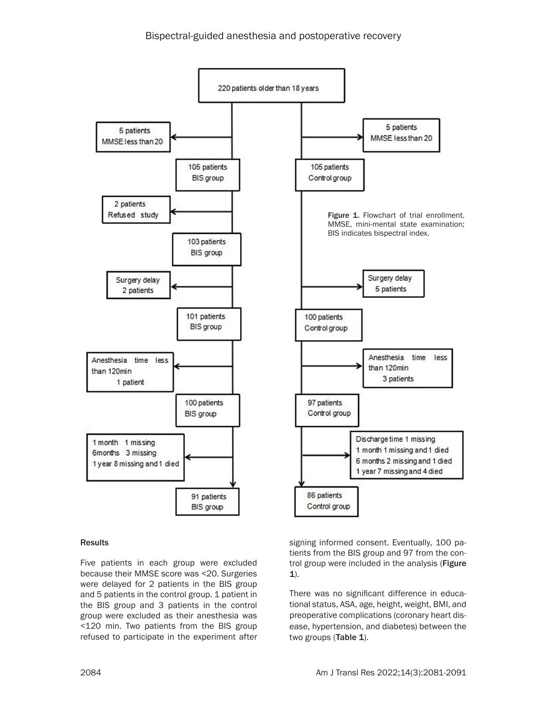

## Results

Five patients in each group were excluded because their MMSE score was <20. Surgeries were delayed for 2 patients in the BIS group and 5 patients in the control group. 1 patient in the BIS group and 3 patients in the control group were excluded as their anesthesia was <120 min. Two patients from the BIS group refused to participate in the experiment after

signing informed consent. Eventually, 100 patients from the BIS group and 97 from the control group were included in the analysis (Figure 1).

There was no significant difference in educational status, ASA, age, height, weight, BMI, and preoperative complications (coronary heart disease, hypertension, and diabetes) between the two groups (Table 1).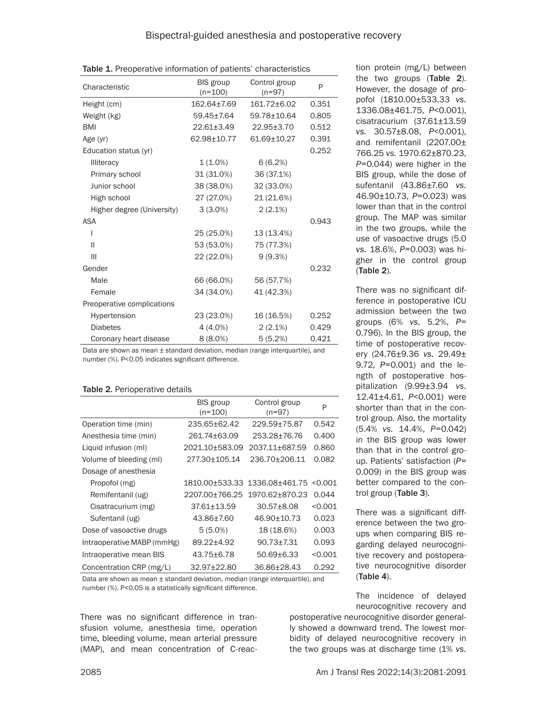| Characteristic             | BIS group<br>$(n=100)$ | Control group<br>$(n=97)$ | P     |
|----------------------------|------------------------|---------------------------|-------|
| Height (cm)                | 162.64±7.69            | 161.72±6.02               | 0.351 |
| Weight (kg)                | 59.45±7.64             | 59.78±10.64               | 0.805 |
| <b>BMI</b>                 | $22.61 \pm 3.49$       | $22.95 \pm 3.70$          | 0.512 |
| Age $(yr)$                 | 62.98±10.77            | $61.69 + 10.27$           | 0.391 |
| Education status (yr)      |                        |                           | 0.252 |
| Illiteracy                 | $1(1.0\%)$             | 6(6.2%)                   |       |
| Primary school             | 31 (31.0%)             | 36 (37.1%)                |       |
| Junior school              | 38 (38.0%)             | 32 (33.0%)                |       |
| High school                | 27 (27.0%)             | 21 (21.6%)                |       |
| Higher degree (University) | $3(3.0\%)$             | $2(2.1\%)$                |       |
| <b>ASA</b>                 |                        |                           | 0.943 |
|                            | 25 (25.0%)             | 13 (13.4%)                |       |
| $\mathbf{I}$               | 53 (53.0%)             | 75 (77.3%)                |       |
| III                        | 22 (22.0%)             | 9(9.3%)                   |       |
| Gender                     |                        |                           | 0.232 |
| Male                       | 66 (66.0%)             | 56 (57.7%)                |       |
| Female                     | 34 (34.0%)             | 41 (42.3%)                |       |
| Preoperative complications |                        |                           |       |
| Hypertension               | 23 (23.0%)             | 16 (16.5%)                | 0.252 |
| <b>Diabetes</b>            | 4 (4.0%)               | $2(2.1\%)$                | 0.429 |
| Coronary heart disease     | $8(8.0\%)$             | 5(5.2%)                   | 0.421 |

Table 1. Preoperative information of patients' characteristics

Data are shown as mean  $\pm$  standard deviation, median (range interquartile), and number (%). P<0.05 indicates significant difference.

#### Table 2. Perioperative details

|                            | <b>BIS</b> group<br>$(n=100)$ | Control group<br>$(n=97)$ | P       |
|----------------------------|-------------------------------|---------------------------|---------|
| Operation time (min)       | 235.65+62.42                  | 229.59±75.87              | 0.542   |
| Anesthesia time (min)      | 261.74±63.09                  | 253.28+76.76              | 0.400   |
| Liquid infusion (ml)       | 2021.10±583.09                | 2037.11+687.59            | 0.860   |
| Volume of bleeding (ml)    | 277.30+105.14                 | 236.70+206.11             | 0.082   |
| Dosage of anesthesia       |                               |                           |         |
| Propofol (mg)              | 1810.00+533.33                | 1336.08+461.75            | < 0.001 |
| Remifentanil (ug)          | 2207.00+766.25                | 1970.62+870.23            | 0.044   |
| Cisatracurium (mg)         | $37.61 \pm 13.59$             | $30.57 + 8.08$            | < 0.001 |
| Sufentanil (ug)            | 43.86+7.60                    | 46.90+10.73               | 0.023   |
| Dose of vasoactive drugs   | $5(5.0\%)$                    | 18 (18.6%)                | 0.003   |
| Intraoperative MABP (mmHg) | 89.22+4.92                    | $90.73 + 7.31$            | 0.093   |
| Intraoperative mean BIS    | 43.75±6.78                    | $50.69 + 6.33$            | < 0.001 |
| Concentration CRP (mg/L)   | 32.97±22.80                   | 36.86±28.43               | 0.292   |

Data are shown as mean ± standard deviation, median (range interquartile), and number (%). P<0.05 is a statistically significant difference.

There was no significant difference in transfusion volume, anesthesia time, operation time, bleeding volume, mean arterial pressure (MAP), and mean concentration of C-reaction protein (mg/L) between the two groups (Table 2). However, the dosage of propofol (1810.00±533.33 *vs.*  1336.08±461.75, *P*<0.001), cisatracurium (37.61±13.59 *vs.* 30.57±8.08, *P*<0.001), and remifentanil (2207.00± 766.25 *vs.* 1970.62±870.23, *P*=0.044) were higher in the BIS group, while the dose of sufentanil (43.86±7.60 *vs.* 46.90±10.73, *P*=0.023) was lower than that in the control group. The MAP was similar in the two groups, while the use of vasoactive drugs (5.0 *vs.* 18.6%, *P*=0.003) was higher in the control group (Table 2).

There was no significant difference in postoperative ICU admission between the two groups (6% *vs.* 5.2%, *P*= 0.796). In the BIS group, the time of postoperative recovery (24.76±9.36 *vs.* 29.49± 9.72, *P*=0.001) and the length of postoperative hospitalization (9.99±3.94 *vs.* 12.41±4.61, *P*<0.001) were shorter than that in the control group. Also, the mortality (5.4% *vs.* 14.4%, *P*=0.042) in the BIS group was lower than that in the control group. Patients' satisfaction (*P*= 0.009) in the BIS group was better compared to the control group (Table 3).

There was a significant difference between the two groups when comparing BIS regarding delayed neurocognitive recovery and postoperative neurocognitive disorder (Table 4).

The incidence of delayed neurocognitive recovery and

postoperative neurocognitive disorder generally showed a downward trend. The lowest morbidity of delayed neurocognitive recovery in the two groups was at discharge time (1% *vs.*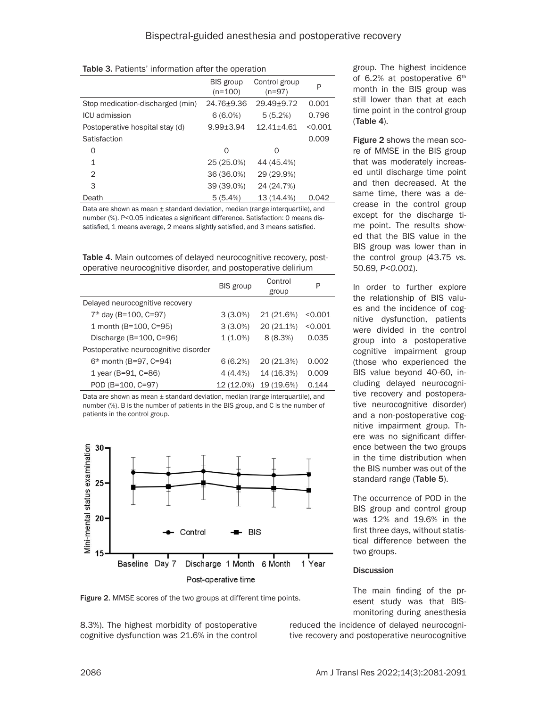| Table 3. Patients' information after the operation |  |  |  |
|----------------------------------------------------|--|--|--|
|----------------------------------------------------|--|--|--|

|                                  | <b>BIS</b> group<br>$(n=100)$ | Control group<br>$(n=97)$ | P       |
|----------------------------------|-------------------------------|---------------------------|---------|
| Stop medication-discharged (min) | 24.76+9.36                    | 29.49+9.72                | 0.001   |
| ICU admission                    | $6(6.0\%)$                    | 5(5.2%)                   | 0.796   |
| Postoperative hospital stay (d)  | $9.99 + 3.94$                 | $12.41 \pm 4.61$          | < 0.001 |
| Satisfaction                     |                               |                           | 0.009   |
| 0                                | $\Omega$                      | Ω                         |         |
| 1                                | 25 (25.0%)                    | 44 (45.4%)                |         |
| 2                                | 36 (36.0%)                    | 29 (29.9%)                |         |
| 3                                | 39 (39.0%)                    | 24 (24.7%)                |         |
| Death                            | 5(5.4%)                       | 13 (14.4%)                | 0.042   |

Data are shown as mean ± standard deviation, median (range interquartile), and number (%). P<0.05 indicates a significant difference. Satisfaction: 0 means dissatisfied, 1 means average, 2 means slightly satisfied, and 3 means satisfied.

Table 4. Main outcomes of delayed neurocognitive recovery, postoperative neurocognitive disorder, and postoperative delirium

|                                       | <b>BIS</b> group | Control<br>group | P       |
|---------------------------------------|------------------|------------------|---------|
| Delayed neurocognitive recovery       |                  |                  |         |
| 7 <sup>th</sup> day (B=100, C=97)     | $3(3.0\%)$       | 21 (21.6%)       | < 0.001 |
| 1 month (B=100, C=95)                 | $3(3.0\%)$       | 20 (21.1%)       | < 0.001 |
| Discharge $(B=100, C=96)$             | $1(1.0\%)$       | 8(8.3%)          | 0.035   |
| Postoperative neurocognitive disorder |                  |                  |         |
| $6th$ month (B=97, C=94)              | 6(6.2%)          | 20 (21.3%)       | 0.002   |
| 1 year (B=91, C=86)                   | 4(4.4%           | 14 (16.3%)       | 0.009   |
| POD (B=100, C=97)                     | 12 (12.0%)       | 19 (19.6%)       | 0.144   |

Data are shown as mean ± standard deviation, median (range interquartile), and number (%). B is the number of patients in the BIS group, and C is the number of patients in the control group.



group. The highest incidence of 6.2% at postoperative 6<sup>th</sup> month in the BIS group was still lower than that at each time point in the control group (Table 4).

Figure 2 shows the mean score of MMSE in the BIS group that was moderately increased until discharge time point and then decreased. At the same time, there was a decrease in the control group except for the discharge time point. The results showed that the BIS value in the BIS group was lower than in the control group (43.75 *vs.*  50.69, *P<0.001*).

In order to further explore the relationship of BIS values and the incidence of cognitive dysfunction, patients were divided in the control group into a postoperative cognitive impairment group (those who experienced the BIS value beyond 40-60, including delayed neurocognitive recovery and postoperative neurocognitive disorder) and a non-postoperative cognitive impairment group. There was no significant difference between the two groups in the time distribution when the BIS number was out of the standard range (Table 5).

The occurrence of POD in the BIS group and control group was 12% and 19.6% in the first three days, without statistical difference between the two groups.

#### **Discussion**

The main finding of the present study was that BISmonitoring during anesthesia

Figure 2. MMSE scores of the two groups at different time points.

8.3%). The highest morbidity of postoperative cognitive dysfunction was 21.6% in the control reduced the incidence of delayed neurocognitive recovery and postoperative neurocognitive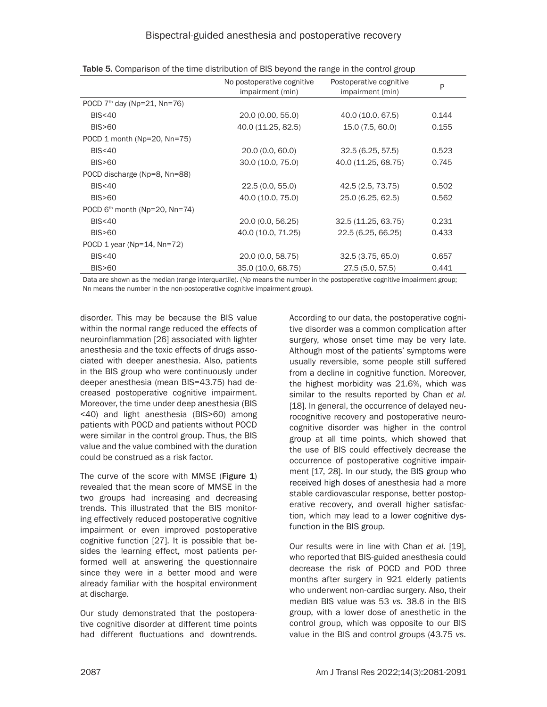|                                   | No postoperative cognitive<br>impairment (min) | Postoperative cognitive<br>impairment (min) | P     |
|-----------------------------------|------------------------------------------------|---------------------------------------------|-------|
| POCD $7th$ day (Np=21, Nn=76)     |                                                |                                             |       |
| BIS < 40                          | 20.0 (0.00, 55.0)                              | 40.0 (10.0, 67.5)                           | 0.144 |
| <b>BIS&gt;60</b>                  | 40.0 (11.25, 82.5)                             | 15.0 (7.5, 60.0)                            | 0.155 |
| POCD 1 month (Np=20, Nn=75)       |                                                |                                             |       |
| BIS < 40                          | 20.0 (0.0, 60.0)                               | 32.5(6.25, 57.5)                            | 0.523 |
| <b>BIS&gt;60</b>                  | 30.0 (10.0, 75.0)                              | 40.0 (11.25, 68.75)                         | 0.745 |
| POCD discharge (Np=8, Nn=88)      |                                                |                                             |       |
| BIS < 40                          | 22.5(0.0, 55.0)                                | 42.5 (2.5, 73.75)                           | 0.502 |
| <b>BIS&gt;60</b>                  | 40.0 (10.0, 75.0)                              | 25.0 (6.25, 62.5)                           | 0.562 |
| POCD $6th$ month (Np=20, Nn=74)   |                                                |                                             |       |
| BIS < 40                          | 20.0 (0.0, 56.25)                              | 32.5 (11.25, 63.75)                         | 0.231 |
| <b>BIS&gt;60</b>                  | 40.0 (10.0, 71.25)                             | 22.5 (6.25, 66.25)                          | 0.433 |
| POCD 1 year ( $Np=14$ , $Nn=72$ ) |                                                |                                             |       |
| <b>BIS&lt;40</b>                  | 20.0 (0.0, 58.75)                              | 32.5(3.75, 65.0)                            | 0.657 |
| <b>BIS&gt;60</b>                  | 35.0 (10.0, 68.75)                             | 27.5 (5.0, 57.5)                            | 0.441 |

| Table 5. Comparison of the time distribution of BIS beyond the range in the control group |  |  |
|-------------------------------------------------------------------------------------------|--|--|
|-------------------------------------------------------------------------------------------|--|--|

Data are shown as the median (range interquartile). (Np means the number in the postoperative cognitive impairment group; Nn means the number in the non-postoperative cognitive impairment group).

disorder. This may be because the BIS value within the normal range reduced the effects of neuroinflammation [26] associated with lighter anesthesia and the toxic effects of drugs associated with deeper anesthesia. Also, patients in the BIS group who were continuously under deeper anesthesia (mean BIS=43.75) had decreased postoperative cognitive impairment. Moreover, the time under deep anesthesia (BIS <40) and light anesthesia (BIS>60) among patients with POCD and patients without POCD were similar in the control group. Thus, the BIS value and the value combined with the duration could be construed as a risk factor.

The curve of the score with MMSE (Figure 1) revealed that the mean score of MMSE in the two groups had increasing and decreasing trends. This illustrated that the BIS monitoring effectively reduced postoperative cognitive impairment or even improved postoperative cognitive function [27]. It is possible that besides the learning effect, most patients performed well at answering the questionnaire since they were in a better mood and were already familiar with the hospital environment at discharge.

Our study demonstrated that the postoperative cognitive disorder at different time points had different fluctuations and downtrends.

According to our data, the postoperative cognitive disorder was a common complication after surgery, whose onset time may be very late. Although most of the patients' symptoms were usually reversible, some people still suffered from a decline in cognitive function. Moreover, the highest morbidity was 21.6%, which was similar to the results reported by Chan *et al.* [18]. In general, the occurrence of delayed neurocognitive recovery and postoperative neurocognitive disorder was higher in the control group at all time points, which showed that the use of BIS could effectively decrease the occurrence of postoperative cognitive impairment [17, 28]. In our study, the BIS group who received high doses of anesthesia had a more stable cardiovascular response, better postoperative recovery, and overall higher satisfaction, which may lead to a lower cognitive dysfunction in the BIS group.

Our results were in line with Chan *et al.* [19], who reported that BIS-guided anesthesia could decrease the risk of POCD and POD three months after surgery in 921 elderly patients who underwent non-cardiac surgery. Also, their median BIS value was 53 *vs.* 38.6 in the BIS group, with a lower dose of anesthetic in the control group, which was opposite to our BIS value in the BIS and control groups (43.75 *vs.*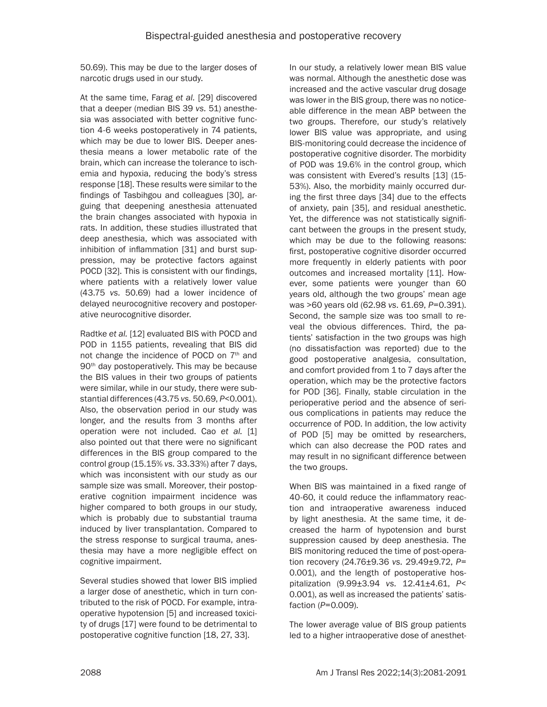50.69). This may be due to the larger doses of narcotic drugs used in our study.

At the same time, Farag *et al.* [29] discovered that a deeper (median BIS 39 *vs.* 51) anesthesia was associated with better cognitive function 4-6 weeks postoperatively in 74 patients, which may be due to lower BIS. Deeper anesthesia means a lower metabolic rate of the brain, which can increase the tolerance to ischemia and hypoxia, reducing the body's stress response [18]. These results were similar to the findings of Tasbihgou and colleagues [30], arguing that deepening anesthesia attenuated the brain changes associated with hypoxia in rats. In addition, these studies illustrated that deep anesthesia, which was associated with inhibition of inflammation [31] and burst suppression, may be protective factors against POCD [32]. This is consistent with our findings, where patients with a relatively lower value (43.75 *vs.* 50.69) had a lower incidence of delayed neurocognitive recovery and postoperative neurocognitive disorder.

Radtke *et al.* [12] evaluated BIS with POCD and POD in 1155 patients, revealing that BIS did not change the incidence of POCD on 7<sup>th</sup> and 90<sup>th</sup> day postoperatively. This may be because the BIS values in their two groups of patients were similar, while in our study, there were substantial differences (43.75 *vs.* 50.69, *P*<0.001). Also, the observation period in our study was longer, and the results from 3 months after operation were not included. Cao *et al.* [1] also pointed out that there were no significant differences in the BIS group compared to the control group (15.15% *vs.* 33.33%) after 7 days, which was inconsistent with our study as our sample size was small. Moreover, their postoperative cognition impairment incidence was higher compared to both groups in our study, which is probably due to substantial trauma induced by liver transplantation. Compared to the stress response to surgical trauma, anesthesia may have a more negligible effect on cognitive impairment.

Several studies showed that lower BIS implied a larger dose of anesthetic, which in turn contributed to the risk of POCD. For example, intraoperative hypotension [5] and increased toxicity of drugs [17] were found to be detrimental to postoperative cognitive function [18, 27, 33].

In our study, a relatively lower mean BIS value was normal. Although the anesthetic dose was increased and the active vascular drug dosage was lower in the BIS group, there was no noticeable difference in the mean ABP between the two groups. Therefore, our study's relatively lower BIS value was appropriate, and using BIS-monitoring could decrease the incidence of postoperative cognitive disorder. The morbidity of POD was 19.6% in the control group, which was consistent with Evered's results [13] (15- 53%). Also, the morbidity mainly occurred during the first three days [34] due to the effects of anxiety, pain [35], and residual anesthetic. Yet, the difference was not statistically significant between the groups in the present study, which may be due to the following reasons: first, postoperative cognitive disorder occurred more frequently in elderly patients with poor outcomes and increased mortality [11]. However, some patients were younger than 60 years old, although the two groups' mean age was >60 years old (62.98 *vs.* 61.69, *P*=0.391). Second, the sample size was too small to reveal the obvious differences. Third, the patients' satisfaction in the two groups was high (no dissatisfaction was reported) due to the good postoperative analgesia, consultation, and comfort provided from 1 to 7 days after the operation, which may be the protective factors for POD [36]. Finally, stable circulation in the perioperative period and the absence of serious complications in patients may reduce the occurrence of POD. In addition, the low activity of POD [5] may be omitted by researchers, which can also decrease the POD rates and may result in no significant difference between the two groups.

When BIS was maintained in a fixed range of 40-60, it could reduce the inflammatory reaction and intraoperative awareness induced by light anesthesia. At the same time, it decreased the harm of hypotension and burst suppression caused by deep anesthesia. The BIS monitoring reduced the time of post-operation recovery (24.76±9.36 *vs.* 29.49±9.72, *P*= 0.001), and the length of postoperative hospitalization (9.99±3.94 *vs.* 12.41±4.61, *P*< 0.001), as well as increased the patients' satisfaction (*P*=0.009).

The lower average value of BIS group patients led to a higher intraoperative dose of anesthet-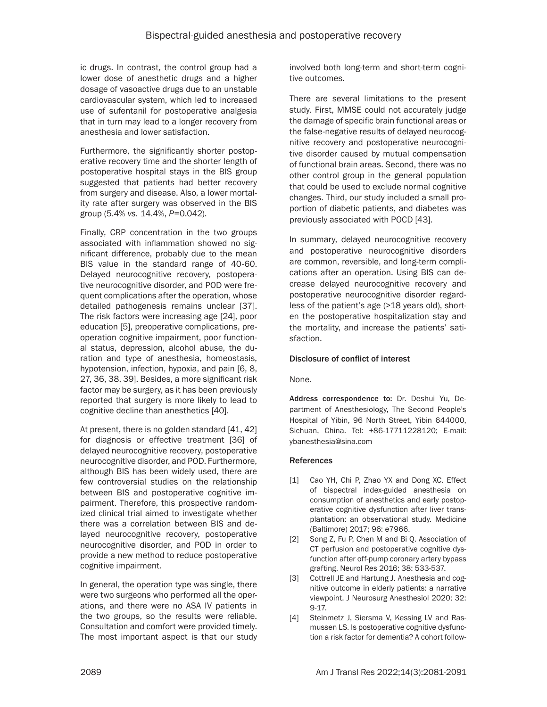ic drugs. In contrast, the control group had a lower dose of anesthetic drugs and a higher dosage of vasoactive drugs due to an unstable cardiovascular system, which led to increased use of sufentanil for postoperative analgesia that in turn may lead to a longer recovery from anesthesia and lower satisfaction.

Furthermore, the significantly shorter postoperative recovery time and the shorter length of postoperative hospital stays in the BIS group suggested that patients had better recovery from surgery and disease. Also, a lower mortality rate after surgery was observed in the BIS group (5.4% *vs.* 14.4%, *P*=0.042).

Finally, CRP concentration in the two groups associated with inflammation showed no significant difference, probably due to the mean BIS value in the standard range of 40-60. Delayed neurocognitive recovery, postoperative neurocognitive disorder, and POD were frequent complications after the operation, whose detailed pathogenesis remains unclear [37]. The risk factors were increasing age [24], poor education [5], preoperative complications, preoperation cognitive impairment, poor functional status, depression, alcohol abuse, the duration and type of anesthesia, homeostasis, hypotension, infection, hypoxia, and pain [6, 8, 27, 36, 38, 39]. Besides, a more significant risk factor may be surgery, as it has been previously reported that surgery is more likely to lead to cognitive decline than anesthetics [40].

At present, there is no golden standard [41, 42] for diagnosis or effective treatment [36] of delayed neurocognitive recovery, postoperative neurocognitive disorder, and POD. Furthermore, although BIS has been widely used, there are few controversial studies on the relationship between BIS and postoperative cognitive impairment. Therefore, this prospective randomized clinical trial aimed to investigate whether there was a correlation between BIS and delayed neurocognitive recovery, postoperative neurocognitive disorder, and POD in order to provide a new method to reduce postoperative cognitive impairment.

In general, the operation type was single, there were two surgeons who performed all the operations, and there were no ASA IV patients in the two groups, so the results were reliable. Consultation and comfort were provided timely. The most important aspect is that our study involved both long-term and short-term cognitive outcomes.

There are several limitations to the present study. First, MMSE could not accurately judge the damage of specific brain functional areas or the false-negative results of delayed neurocognitive recovery and postoperative neurocognitive disorder caused by mutual compensation of functional brain areas. Second, there was no other control group in the general population that could be used to exclude normal cognitive changes. Third, our study included a small proportion of diabetic patients, and diabetes was previously associated with POCD [43].

In summary, delayed neurocognitive recovery and postoperative neurocognitive disorders are common, reversible, and long-term complications after an operation. Using BIS can decrease delayed neurocognitive recovery and postoperative neurocognitive disorder regardless of the patient's age (>18 years old), shorten the postoperative hospitalization stay and the mortality, and increase the patients' satisfaction.

## Disclosure of conflict of interest

None.

Address correspondence to: Dr. Deshui Yu, Department of Anesthesiology, The Second People's Hospital of Yibin, 96 North Street, Yibin 644000, Sichuan, China. Tel: +86-17711228120; E-mail: [ybanesthesia@sina.com](mailto:ybanesthesia@sina.com)

## References

- [1] Cao YH, Chi P, Zhao YX and Dong XC. Effect of bispectral index-guided anesthesia on consumption of anesthetics and early postoperative cognitive dysfunction after liver transplantation: an observational study. Medicine (Baltimore) 2017; 96: e7966.
- [2] Song Z, Fu P, Chen M and Bi Q. Association of CT perfusion and postoperative cognitive dysfunction after off-pump coronary artery bypass grafting. Neurol Res 2016; 38: 533-537.
- [3] Cottrell JE and Hartung J. Anesthesia and cognitive outcome in elderly patients: a narrative viewpoint. J Neurosurg Anesthesiol 2020; 32: 9-17.
- [4] Steinmetz J, Siersma V, Kessing LV and Rasmussen LS. Is postoperative cognitive dysfunction a risk factor for dementia? A cohort follow-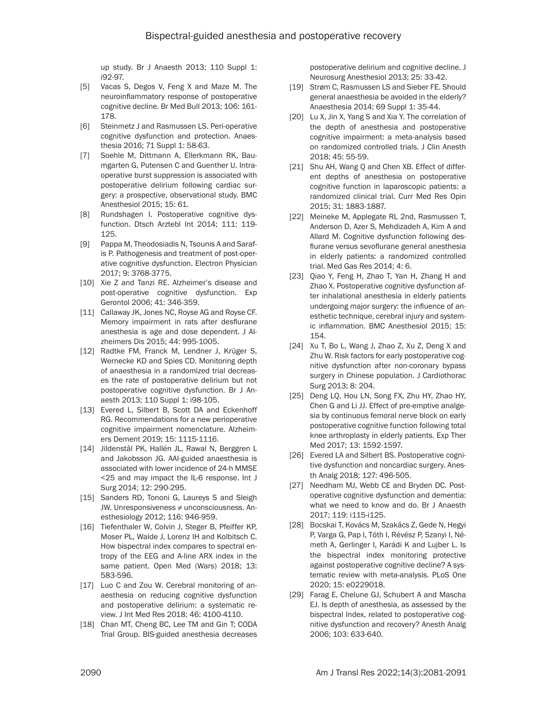up study. Br J Anaesth 2013; 110 Suppl 1: i92-97.

- [5] Vacas S, Degos V, Feng X and Maze M. The neuroinflammatory response of postoperative cognitive decline. Br Med Bull 2013; 106: 161- 178.
- [6] Steinmetz J and Rasmussen LS. Peri-operative cognitive dysfunction and protection. Anaesthesia 2016; 71 Suppl 1: 58-63.
- [7] Soehle M, Dittmann A, Ellerkmann RK, Baumgarten G, Putensen C and Guenther U. Intraoperative burst suppression is associated with postoperative delirium following cardiac surgery: a prospective, observational study. BMC Anesthesiol 2015; 15: 61.
- [8] Rundshagen I. Postoperative cognitive dysfunction. Dtsch Arztebl Int 2014; 111: 119- 125.
- [9] Pappa M, Theodosiadis N, Tsounis A and Sarafis P. Pathogenesis and treatment of post-operative cognitive dysfunction. Electron Physician 2017; 9: 3768-3775.
- [10] Xie Z and Tanzi RE. Alzheimer's disease and post-operative cognitive dysfunction. Exp Gerontol 2006; 41: 346-359.
- [11] Callaway JK, Jones NC, Royse AG and Royse CF. Memory impairment in rats after desflurane anesthesia is age and dose dependent. J Alzheimers Dis 2015; 44: 995-1005.
- [12] Radtke FM, Franck M, Lendner J, Krüger S, Wernecke KD and Spies CD. Monitoring depth of anaesthesia in a randomized trial decreases the rate of postoperative delirium but not postoperative cognitive dysfunction. Br J Anaesth 2013; 110 Suppl 1: i98-105.
- [13] Evered L, Silbert B, Scott DA and Eckenhoff RG. Recommendations for a new perioperative cognitive impairment nomenclature. Alzheimers Dement 2019; 15: 1115-1116.
- [14] Jildenstål PK, Hallén JL, Rawal N, Berggren L and Jakobsson JG. AAI-guided anaesthesia is associated with lower incidence of 24-h MMSE <25 and may impact the IL-6 response. Int J Surg 2014; 12: 290-295.
- [15] Sanders RD, Tononi G, Laureys S and Sleigh JW. Unresponsiveness ≠ unconsciousness. Anesthesiology 2012; 116: 946-959.
- [16] Tiefenthaler W, Colvin J, Steger B, Pfeiffer KP, Moser PL, Walde J, Lorenz IH and Kolbitsch C. How bispectral index compares to spectral entropy of the EEG and A-line ARX index in the same patient. Open Med (Wars) 2018; 13: 583-596.
- [17] Luo C and Zou W. Cerebral monitoring of anaesthesia on reducing cognitive dysfunction and postoperative delirium: a systematic review. J Int Med Res 2018; 46: 4100-4110.
- [18] Chan MT, Cheng BC, Lee TM and Gin T; CODA Trial Group. BIS-guided anesthesia decreases

postoperative delirium and cognitive decline. J Neurosurg Anesthesiol 2013; 25: 33-42.

- [19] Strøm C, Rasmussen LS and Sieber FE. Should general anaesthesia be avoided in the elderly? Anaesthesia 2014; 69 Suppl 1: 35-44.
- [20] Lu X, Jin X, Yang S and Xia Y. The correlation of the depth of anesthesia and postoperative cognitive impairment: a meta-analysis based on randomized controlled trials. J Clin Anesth 2018; 45: 55-59.
- [21] Shu AH, Wang Q and Chen XB. Effect of different depths of anesthesia on postoperative cognitive function in laparoscopic patients: a randomized clinical trial. Curr Med Res Opin 2015; 31: 1883-1887.
- [22] Meineke M, Applegate RL 2nd, Rasmussen T, Anderson D, Azer S, Mehdizadeh A, Kim A and Allard M. Cognitive dysfunction following desflurane versus sevoflurane general anesthesia in elderly patients: a randomized controlled trial. Med Gas Res 2014; 4: 6.
- [23] Qiao Y, Feng H, Zhao T, Yan H, Zhang H and Zhao X. Postoperative cognitive dysfunction after inhalational anesthesia in elderly patients undergoing major surgery: the influence of anesthetic technique, cerebral injury and systemic inflammation. BMC Anesthesiol 2015; 15: 154.
- [24] Xu T, Bo L, Wang J, Zhao Z, Xu Z, Deng X and Zhu W. Risk factors for early postoperative cognitive dysfunction after non-coronary bypass surgery in Chinese population. J Cardiothorac Surg 2013; 8: 204.
- [25] Deng LQ, Hou LN, Song FX, Zhu HY, Zhao HY, Chen G and Li JJ. Effect of pre-emptive analgesia by continuous femoral nerve block on early postoperative cognitive function following total knee arthroplasty in elderly patients. Exp Ther Med 2017; 13: 1592-1597.
- [26] Evered LA and Silbert BS. Postoperative cognitive dysfunction and noncardiac surgery. Anesth Analg 2018; 127: 496-505.
- [27] Needham MJ, Webb CE and Bryden DC. Postoperative cognitive dysfunction and dementia: what we need to know and do. Br J Anaesth 2017; 119: i115-i125.
- [28] Bocskai T, Kovács M, Szakács Z, Gede N, Hegyi P, Varga G, Pap I, Tóth I, Révész P, Szanyi I, Németh A, Gerlinger I, Karádi K and Lujber L. Is the bispectral index monitoring protective against postoperative cognitive decline? A systematic review with meta-analysis. PLoS One 2020; 15: e0229018.
- [29] Farag E, Chelune GJ, Schubert A and Mascha EJ. Is depth of anesthesia, as assessed by the bispectral Index, related to postoperative cognitive dysfunction and recovery? Anesth Analg 2006; 103: 633-640.